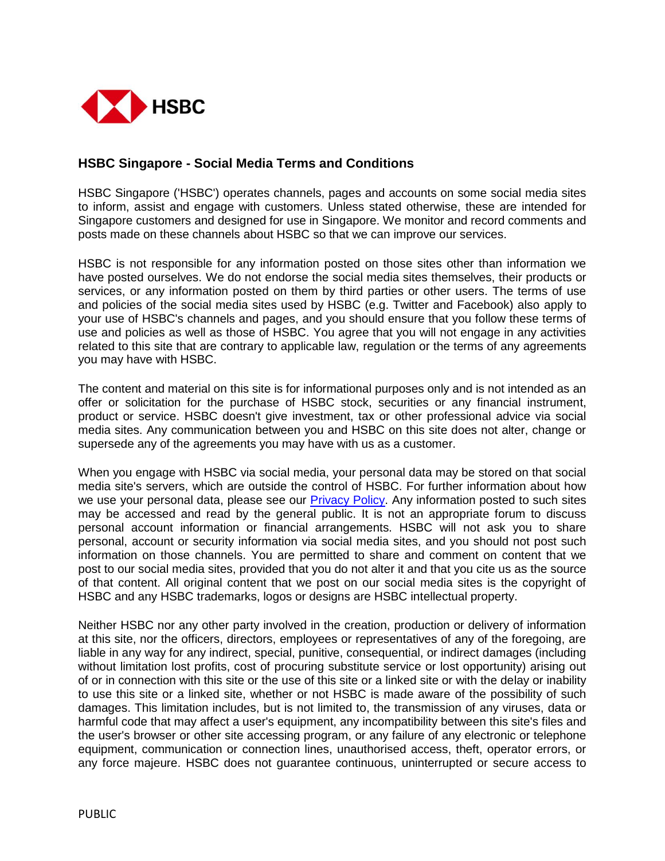

## **HSBC Singapore - Social Media Terms and Conditions**

HSBC Singapore ('HSBC') operates channels, pages and accounts on some social media sites to inform, assist and engage with customers. Unless stated otherwise, these are intended for Singapore customers and designed for use in Singapore. We monitor and record comments and posts made on these channels about HSBC so that we can improve our services.

HSBC is not responsible for any information posted on those sites other than information we have posted ourselves. We do not endorse the social media sites themselves, their products or services, or any information posted on them by third parties or other users. The terms of use and policies of the social media sites used by HSBC (e.g. Twitter and Facebook) also apply to your use of HSBC's channels and pages, and you should ensure that you follow these terms of use and policies as well as those of HSBC. You agree that you will not engage in any activities related to this site that are contrary to applicable law, regulation or the terms of any agreements you may have with HSBC.

The content and material on this site is for informational purposes only and is not intended as an offer or solicitation for the purchase of HSBC stock, securities or any financial instrument, product or service. HSBC doesn't give investment, tax or other professional advice via social media sites. Any communication between you and HSBC on this site does not alter, change or supersede any of the agreements you may have with us as a customer.

When you engage with HSBC via social media, your personal data may be stored on that social media site's servers, which are outside the control of HSBC. For further information about how we use your personal data, please see our **Privacy Policy**. Any information posted to such sites may be accessed and read by the general public. It is not an appropriate forum to discuss personal account information or financial arrangements. HSBC will not ask you to share personal, account or security information via social media sites, and you should not post such information on those channels. You are permitted to share and comment on content that we post to our social media sites, provided that you do not alter it and that you cite us as the source of that content. All original content that we post on our social media sites is the copyright of HSBC and any HSBC trademarks, logos or designs are HSBC intellectual property.

Neither HSBC nor any other party involved in the creation, production or delivery of information at this site, nor the officers, directors, employees or representatives of any of the foregoing, are liable in any way for any indirect, special, punitive, consequential, or indirect damages (including without limitation lost profits, cost of procuring substitute service or lost opportunity) arising out of or in connection with this site or the use of this site or a linked site or with the delay or inability to use this site or a linked site, whether or not HSBC is made aware of the possibility of such damages. This limitation includes, but is not limited to, the transmission of any viruses, data or harmful code that may affect a user's equipment, any incompatibility between this site's files and the user's browser or other site accessing program, or any failure of any electronic or telephone equipment, communication or connection lines, unauthorised access, theft, operator errors, or any force majeure. HSBC does not guarantee continuous, uninterrupted or secure access to